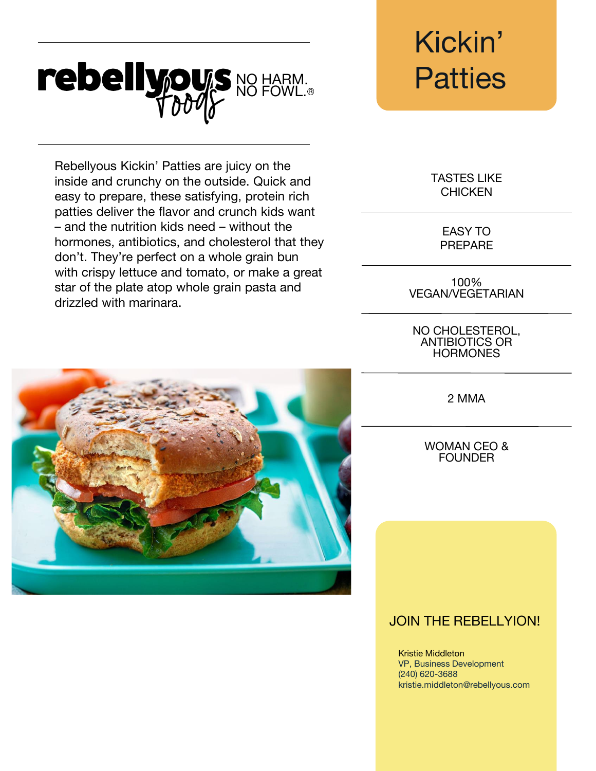## rebellypus NO HARM. Patties

Rebellyous Kickin' Patties are juicy on the inside and crunchy on the outside. Quick and easy to prepare, these satisfying, protein rich patties deliver the flavor and crunch kids want – and the nutrition kids need – without the hormones, antibiotics, and cholesterol that they don't. They're perfect on a whole grain bun with crispy lettuce and tomato, or make a great star of the plate atop whole grain pasta and drizzled with marinara.



# Kickin'

TASTES LIKE **CHICKEN** 

> EASY TO PREPARE

100% VEGAN/VEGETARIAN

NO CHOLESTEROL, ANTIBIOTICS OR **HORMONES** 

2 MMA

WOMAN CEO & **FOUNDER** 

### JOIN THE REBELLYION!

Kristie Middleton VP, Business Development (240) 620-3688 kristie.middleton@rebellyous.com